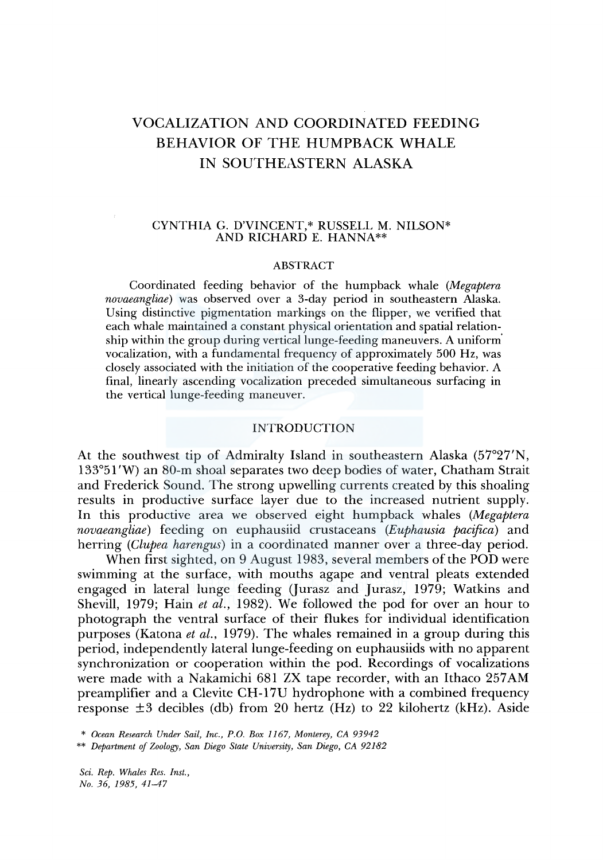# VOCALIZATION AND COORDINATED FEEDING BEHAVIOR OF THE HUMPBACK WHALE IN SOUTHEASTERN ALASKA

# CYNTHIA G. D'VINCENT,\* RUSSELL M. NILSON\* AND RICHARD E. HANNA\*\*

#### ABSTRACT

Coordinated feeding behavior of the humpback whale *(Megaptera novaeangliae)* was observed over a 3-day period in southeastern Alaska. Using distinctive pigmentation markings on the flipper, we verified that each whale maintained a constant physical orientation and spatial relationship within the group during vertical lunge-feeding maneuvers. A uniform' vocalization, with a fundamental frequency of approximately 500 Hz, was closely associated with the initiation of the cooperative feeding behavior. A final, linearly ascending vocalization preceded simultaneous surfacing in the vertical lunge-feeding maneuver.

# INTRODUCTION

At the southwest tip of Admiralty Island in southeastern Alaska (57°27'N, 133°51 'W) an 80-m shoal separates two deep bodies of water, Chatham Strait and Frederick Sound. The strong upwelling currents created by this shoaling results in productive surface layer due to the increased nutrient supply. In this productive area we observed eight humpback whales *(Megaptera novaeangliae)* feeding on euphausiid crustaceans *(Euphausia pacifica)* and herring *(Clupea harengus)* in a coordinated manner over a three-day period.

When first sighted, on 9 August 1983, several members of the POD were swimming at the surface, with mouths agape and ventral pleats extended engaged in lateral lunge feeding (Jurasz and Jurasz, 1979; Watkins and Shevill, 1979; Hain *et al.,* 1982). We followed the pod for over an hour to photograph the ventral surface of their flukes for individual identification purposes (Katona *et al.,* 1979). The whales remained in a group during this period, independently lateral lunge-feeding on euphausiids with no apparent synchronization or cooperation within the pod. Recordings of vocalizations were made with a Nakamichi 681 ZX tape recorder, with an Ithaco 257AM preamplifier and a Clevite CH-17U hydrophone with a combined frequency response  $\pm 3$  decibles (db) from 20 hertz (Hz) to 22 kilohertz (kHz). Aside

\* *Ocean Research Under Sail, Inc., P.O. Box 1167, Monterey, CA 93942* 

\*\* *Department of Zoology, San Diego State University, San Diego, CA 92182* 

*Sci. Rep. Whales Res. Inst., No. 36, 1985, 41-47*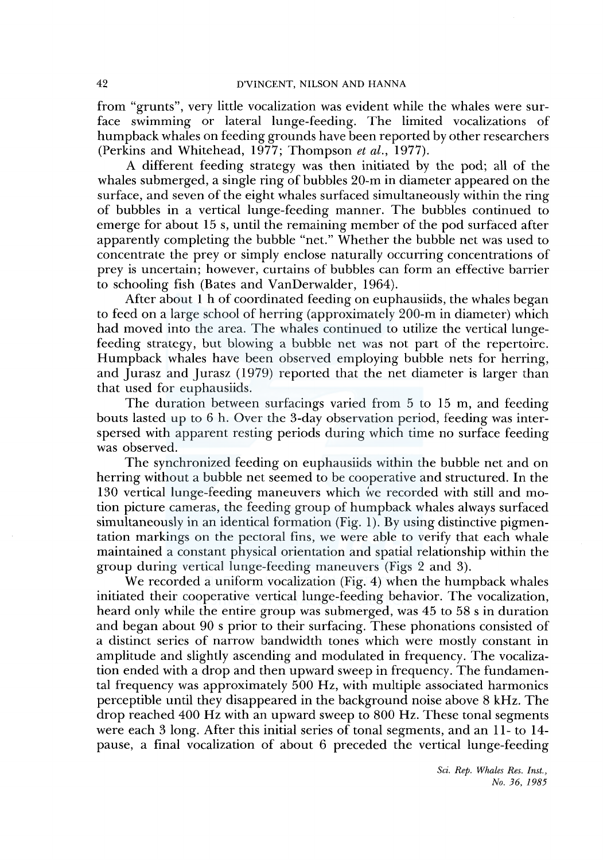from "grunts", very little vocalization was evident while the whales were surface swimming or lateral lunge-feeding. The limited vocalizations of humpback whales on feeding grounds have been reported by other researchers (Perkins and Whitehead, 1977; Thompson *et al.,* 1977).

A different feeding strategy was then initiated by the pod; all of the whales submerged, a single ring of bubbles 20-m in diameter appeared on the surface, and seven of the eight whales surfaced simultaneously within the ring of bubbles in a vertical lunge-feeding manner. The bubbles continued to emerge for about 15 s, until the remaining member of the pod surfaced after apparently completing the bubble "net." Whether the bubble net was used to concentrate the prey or simply enclose naturally occurring concentrations of prey is uncertain; however, curtains of bubbles can form an effective barrier to schooling fish (Bates and VanDerwalder, 1964).

After about 1 h of coordinated feeding on euphausiids, the whales began to feed on a large school of herring (approximately 200-m in diameter) which had moved into the area. The whales continued to utilize the vertical lungefeeding strategy, but blowing a bubble net was not part of the repertoire. Humpback whales have been observed employing bubble nets for herring, and Jurasz and Jurasz (1979) reported that the net diameter is larger than that used for euphausiids.

The duration between surfacings varied from 5 to 15 m, and feeding bouts lasted up to 6 h. Over the 3-day observation period, feeding was interspersed with apparent resting periods during which time no surface feeding was observed.

The synchronized feeding on euphausiids within the bubble net and on herring without a bubble net seemed to be cooperative and structured. In the 130 vertical lunge-feeding maneuvers which we recorded with still and motion picture cameras, the feeding group of humpback whales always surfaced simultaneously in an identical formation (Fig. 1). By using distinctive pigmentation markings on the pectoral fins, we were able to verify that each whale maintained a constant physical orientation and spatial relationship within the group during vertical lunge-feeding maneuvers (Figs 2 and 3).

We recorded a uniform vocalization (Fig. 4) when the humpback whales initiated their cooperative vertical lunge-feeding behavior. The vocalization, heard only while the entire group was submerged, was 45 to 58 s in duration and began about 90 s prior to their surfacing. These phonations consisted of a distinct series of narrow bandwidth tones which were mostly constant in amplitude and slightly ascending and modulated in frequency. The vocalization ended with a drop and then upward sweep in frequency. The fundamental frequency was approximately 500 Hz, with multiple associated harmonics perceptible until they disappeared in the background noise above 8 kHz. The drop reached 400 Hz with an upward sweep to 800 Hz. These tonal segments were each 3 long. After this initial series of tonal segments, and an 11- to 14 pause, a final vocalization of about 6 preceded the vertical lunge-feeding

*Sci. Rep. Whales Res. Inst., No. 36, 1985*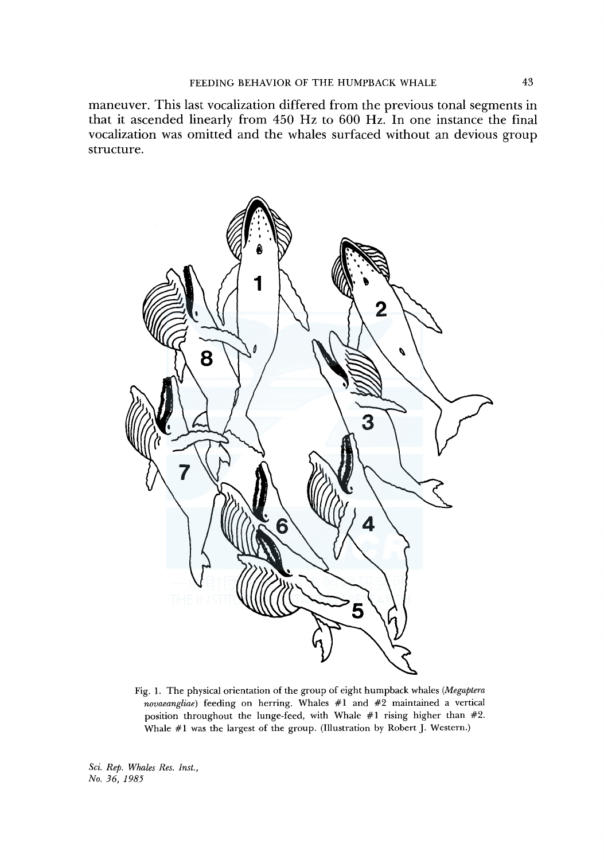maneuver. This last vocalization differed from the previous tonal segments in that it ascended linearly from 450 Hz to 600 Hz. In one instance the final vocalization was omitted and the whales surfaced without an devious group structure.



Fig. 1. The physical orientation of the group of eight humpback whales *(Megaptera novaeangliae)* feeding on herring. Whales #1 and #2 maintained a vertical position throughout the lunge-feed, with Whale #1 rising higher than #2. Whale #1 was the largest of the group. (Illustration by Robert J. Western.)

*Sci. Rep. Whales Res. Inst., No. 36, 1985*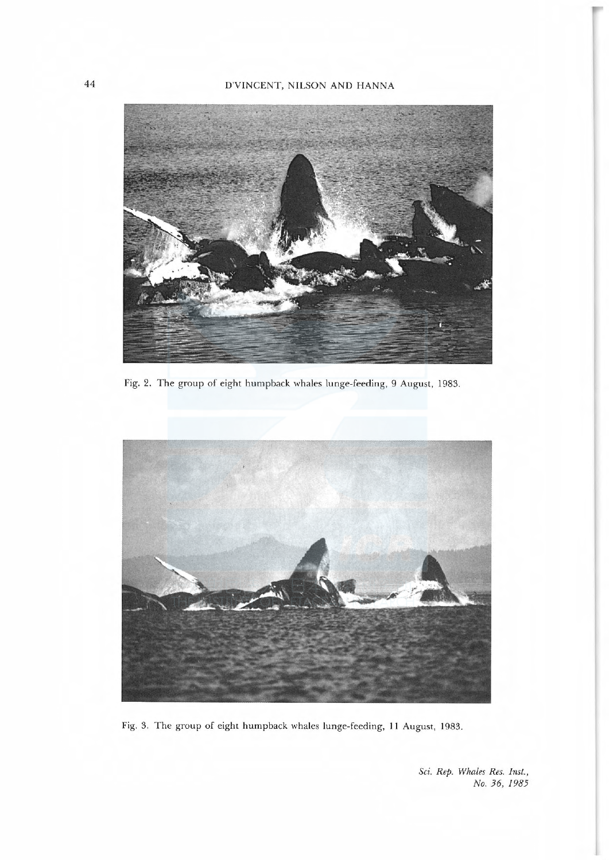# 44 D'VINCENT, NILSON AND HANNA



Fig. 2. The group of eight humpback whales lunge-feeding, 9 August, 1983.



Fig. 3. The group of eight humpback whales lunge-feeding, 11 August, 1983.

Sci. Rep. Whales Res. Inst., No. 36, 1985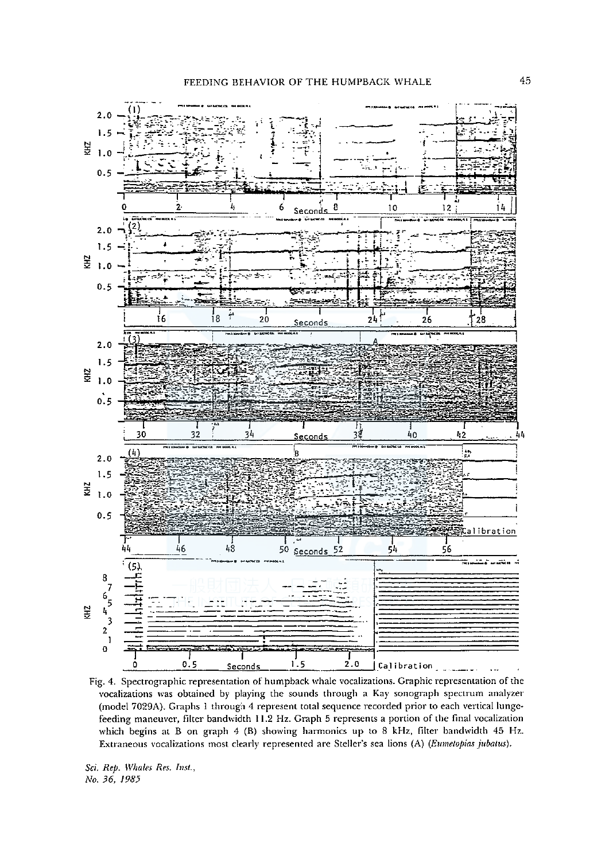

Fig. 4. Spectrographic representation of humpback whale vocalizations. Graphic representation of the vocalizations was obtained by playing the sounds through a Kay sonograph spectrum analyzer (model 7029A). Graphs 1 through 4 represent total sequence recorded prior to each vertical lungefeeding maneuver, filter bandwidth 11.2 Hz. Graph 5 represents a portion of the final vocalization which begins at B on graph 4 (B) showing harmonics up to 8 kHz, filter bandwidth 45 Hz. Extraneous vocalizations most clearly represented are Steller's sea lions (A) (Eumetopias jubatus).

Sci. Rep. Whales Res. Inst., No. 36, 1985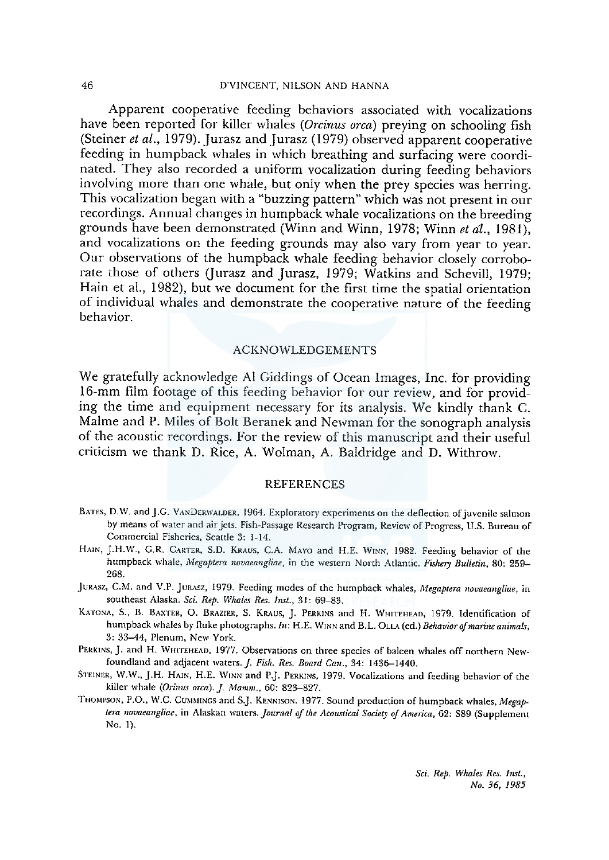Apparent cooperative feeding behaviors associated with vocalizations have been reported for killer whales (Orcinus orca) preying on schooling fish (Steiner et al., 1979). Jurasz and Jurasz (1979) observed apparent cooperative feeding in humpback whales in which breathing and surfacing were coordinated. They also recorded a uniform vocalization during feeding behaviors involving more than one whale, but only when the prey species was herring. This vocalization began with a"buzzing pattern"which was not present in our recordings. Annual changes in humpback whale vocalizations on the breeding grounds have been demonstrated (Winn and Winn, 1978; Winn et al., 1981), and vocalizations on the feeding grounds may also vary from year to year. Our observations of the humpback whale feeding behavior closely corrobo rate those of others Qurasz and Jurasz, 1979; Watkins and Schevill, 1979; Hain et al., 1982), but we document for the first time the spatial orientation of individual whales and demonstrate the cooperative nature of the feeding behavior

### ACKNOWLEDGEMENTS

We gratefully acknowledge Al Giddings of Ocean Images, Inc. for providing <sup>16</sup>mm film footage of this feeding behavior for our review, and for provid ing the time and equipment necessary for its analysis. We kindly thank C. Malme and P. Miles of Bolt Beranek and Newman for the sonograph analysis of the acoustic recordings. For the review of this manuscript and their useful criticism we thank D. Rice, A. Wolman, A. Baldridge and D. Withrow.

#### REFERENCES

- BATES, D.W. and J.G. VANDERWALDER, 1964. Exploratory experiments on the deflection of juvenile salmon by means of water and air jets. Fish-Passage Research Program, Review of Progress, U.S. Bureau of Commercial Fisheries, Seattle 3: 1-14.
- HAIN, J.H.W., G.R. CARTER, S.D. KRAUS, C.A. MAYO and H.E. WINN, 1982. Feeding behavior of the humpback whale, Megaptera novaeangliae, in the western North Atlantic. Fishery Bulletin, 80: 259-268.
- JURASZ, C.M. and V.P. JURASZ, 1979. Feeding modes of the humpback whales, Megaptera novaeangliae, in southeast Alaska. Sci. Rep. Whales Res. Inst., 31: 69-83.
- KATONA, S., B. BAXTER, O. BRAZIER, S. KRAUS, J. PERKINS and H. WHITEHEAD, 1979. Identification of humpback whales by fluke photographs. In: H.E. WINN and B.L. OLLA (ed.) Behavior of marine animals, 3: 33-44, Plenum, New York.
- PERKINS, J. and H. WHITEHEAD, 1977. Observations on three species of baleen whales off northern Newfoundland and adjacent waters. J. Fish. Res. Board Can., 34: 1436-1440.
- STEINER, W.W., J.H. HAIN, H.E. WINN and P.J. PERKINS, 1979. Vocalizations and feeding behavior of the killer whale (Orinus orca). J. Mamm., 60: 823-827.
- THOMPSON, P.O., W.C. CUMMINGS and S.J. KENNISON. 1977. Sound production of humpback whales, Megaptera novaeangliae, in Alaskan waters. Journal of the Acoustical Society of America, 62: S89 (Supplement<br>No. 1).